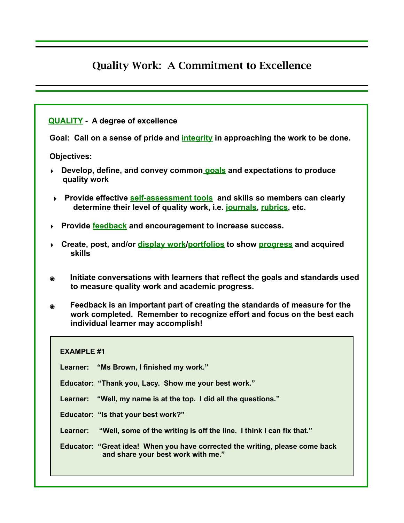## Quality Work: A Commitment to Excellence

## **[QUALITY](https://www.merriam-webster.com/dictionary/quality) - A degree of excellence**

**Goal: Call on a sense of pride and [integrity](http://greatexpectations.org/resources/life-principles/integrity/) in approaching the work to be done.** 

**Objectives:** 

- **‣ Develop, define, and convey common [goals](http://greatexpectations.org/wp-content/uploads/pdf/practice12/111%20Crossroads%20process%20sheet%20w%20emoji%20Final%20copy.pdf) and expectations to produce quality work**
- **‣ Provide effective [self-assessment tools](http://greatexpectations.org/resources/practices/practice-one/vision-goals-self-reflection/self-reflection-strategies/) and skills so members can clearly determine their level of quality work, i.e. [journals,](http://greatexpectations.org/resources/practices/practice-one/vision-goals-self-reflection/self-reflection-strategies/journaling-tips/) [rubrics,](http://greatexpectations.org/resources/practices/practice-ten/practice-ten-self-assessment-tools/) etc.**
- **‣ Provide [feedback](http://greatexpectations.org/wp-content/uploads/pdf/practice13/FeedbackResources.pdf) and encouragement to increase success.**
- **‣ Create, post, and/or [display work/](https://docs.google.com/document/d/12JJH_kzQ9XXlOYaEs86RL0NCyQff7bo8-WI6ZGdJOkk/edit)[portfolios](https://www.teachthought.com/technology/8-educational-apps-to-create-digital-portfolios/) to show [progress](http://greatexpectations.org/wp-content/uploads/pdf/practice12/ChoiceandGoalProgressEvaluationSheets.pdf) and acquired skills**
- **๏ Initiate conversations with learners that reflect the goals and standards used to measure quality work and academic progress.**
- **๏ Feedback is an important part of creating the standards of measure for the work completed. Remember to recognize effort and focus on the best each individual learner may accomplish!**

| <b>EXAMPLE #1</b>                                                                                                  |
|--------------------------------------------------------------------------------------------------------------------|
| Learner: "Ms Brown, I finished my work."                                                                           |
| Educator: "Thank you, Lacy. Show me your best work."                                                               |
| "Well, my name is at the top. I did all the questions."<br>Learner:                                                |
| Educator: "Is that your best work?"                                                                                |
| "Well, some of the writing is off the line. I think I can fix that."<br>Learner:                                   |
| Educator: "Great idea! When you have corrected the writing, please come back<br>and share your best work with me." |